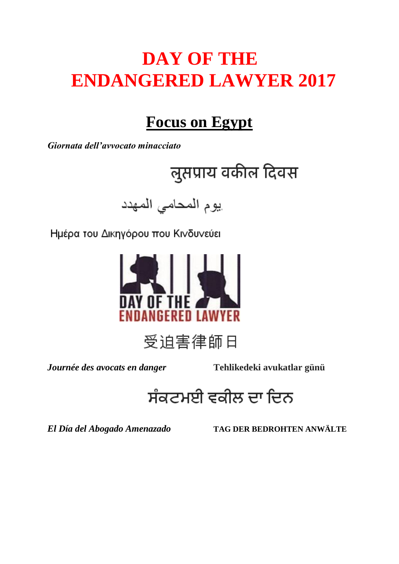# **DAY OF THE ENDANGERED LAWYER 2017**

## **Focus on Egypt**

*Giornata dell'avvocato minacciato*

लुसप्राय वकील दिवस

يوم المحامى المهدد

Ημέρα του Δικηγόρου που Κινδυνεύει



受迫害律師日

*Journée des avocats en danger* **Tehlikedeki avukatlar günü**

ਸੰਕਟਮਈ ਵਕੀਲ ਦਾ ਦਿਨ

*El Día del Abogado Amenazado* **TAG DER BEDROHTEN ANWÄLTE**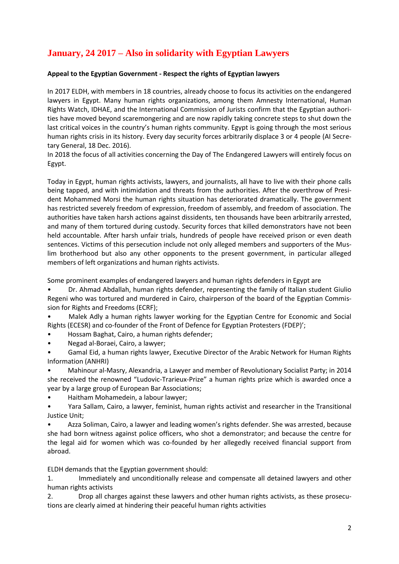## **January, 24 2017 – Also in solidarity with Egyptian Lawyers**

### **Appeal to the Egyptian Government - Respect the rights of Egyptian lawyers**

In 2017 ELDH, with members in 18 countries, already choose to focus its activities on the endangered lawyers in Egypt. Many human rights organizations, among them Amnesty International, Human Rights Watch, IDHAE, and the International Commission of Jurists confirm that the Egyptian authorities have moved beyond scaremongering and are now rapidly taking concrete steps to shut down the last critical voices in the country's human rights community. Egypt is going through the most serious human rights crisis in its history. Every day security forces arbitrarily displace 3 or 4 people (AI Secretary General, 18 Dec. 2016).

In 2018 the focus of all activities concerning the Day of The Endangered Lawyers will entirely focus on Egypt.

Today in Egypt, human rights activists, lawyers, and journalists, all have to live with their phone calls being tapped, and with intimidation and threats from the authorities. After the overthrow of President Mohammed Morsi the human rights situation has deteriorated dramatically. The government has restricted severely freedom of expression, freedom of assembly, and freedom of association. The authorities have taken harsh actions against dissidents, ten thousands have been arbitrarily arrested, and many of them tortured during custody. Security forces that killed demonstrators have not been held accountable. After harsh unfair trials, hundreds of people have received prison or even death sentences. Victims of this persecution include not only alleged members and supporters of the Muslim brotherhood but also any other opponents to the present government, in particular alleged members of left organizations and human rights activists.

Some prominent examples of endangered lawyers and human rights defenders in Egypt are

• Dr. Ahmad Abdallah, human rights defender, representing the family of Italian student Giulio Regeni who was tortured and murdered in Cairo, chairperson of the board of the Egyptian Commission for Rights and Freedoms (ECRF);

• Malek Adly a human rights lawyer working for the Egyptian Centre for Economic and Social Rights (ECESR) and co-founder of the Front of Defence for Egyptian Protesters (FDEP)';

• Hossam Baghat, Cairo, a human rights defender;

• Negad al-Boraei, Cairo, a lawyer;

• Gamal Eid, a human rights lawyer, Executive Director of the Arabic Network for Human Rights Information (ANHRI)

• Mahinour al-Masry, Alexandria, a Lawyer and member of Revolutionary Socialist Party; in 2014 she received the renowned "Ludovic-Trarieux-Prize" a human rights prize which is awarded once a year by a large group of European Bar Associations;

• Haitham Mohamedein, a labour lawyer;

• Yara Sallam, Cairo, a lawyer, feminist, human rights activist and researcher in the Transitional Justice Unit;

• Azza Soliman, Cairo, a lawyer and leading women's rights defender. She was arrested, because she had born witness against police officers, who shot a demonstrator; and because the centre for the legal aid for women which was co-founded by her allegedly received financial support from abroad.

ELDH demands that the Egyptian government should:

1. Immediately and unconditionally release and compensate all detained lawyers and other human rights activists

2. Drop all charges against these lawyers and other human rights activists, as these prosecutions are clearly aimed at hindering their peaceful human rights activities